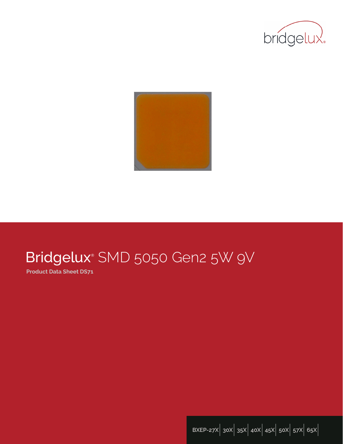



# Bridgelux® SMD 5050 Gen2 5W 9V

**Product Data Sheet DS71**

**BXEP-27X**| **30X**| **35X**| **40X**| **45X**| **50X**| **57X**| **65X**|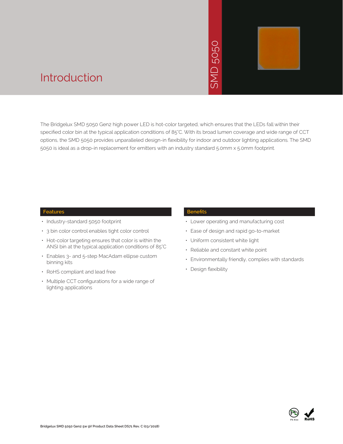# 5050 **NS**



### Introduction

The Bridgelux SMD 5050 Gen2 high power LED is hot-color targeted, which ensures that the LEDs fall within their specified color bin at the typical application conditions of 85°C. With its broad lumen coverage and wide range of CCT options, the SMD 5050 provides unparalleled design-in flexibility for indoor and outdoor lighting applications. The SMD 5050 is ideal as a drop-in replacement for emitters with an industry standard 5.0mm x 5.0mm footprint. • Design flexibility<br>
• Periodic SMD 5050<br>
• SMD 5050<br>
• SMD 5050<br>
• SMD 5050<br>
• SMD 5050<br>
• SMD 5050<br>
• SMD 5050<br>
• SMD 6050<br>
• SMD 6050<br>
• SMD 6050<br>
• SMD 6050<br>
• SMD 6050<br>
• SMD 6050<br>
• SMD 6050<br>
• SMD 6050<br>
• SMD 6050<br>

#### **Features**

- Industry-standard 5050 footprint
- 3 bin color control enables tight color control
- Hot-color targeting ensures that color is within the ANSI bin at the typical application conditions of 85°C
- Enables 3- and 5-step MacAdam ellipse custom binning kits
- RoHS compliant and lead free
- Multiple CCT configurations for a wide range of lighting applications

#### **Benefits**

- Lower operating and manufacturing cost
- Ease of design and rapid go-to-market
- Uniform consistent white light
- Reliable and constant white point
- Environmentally friendly, complies with standards
- · Design flexibility

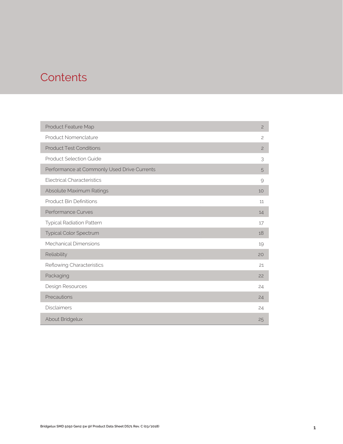### **Contents**

| Product Feature Map                         | $\mathbf{2}$   |
|---------------------------------------------|----------------|
| Product Nomenclature                        | $\mathfrak{S}$ |
| <b>Product Test Conditions</b>              | $\overline{c}$ |
| <b>Product Selection Guide</b>              | 3              |
| Performance at Commonly Used Drive Currents | 5              |
| <b>Electrical Characteristics</b>           | 9              |
| Absolute Maximum Ratings                    | 10             |
| <b>Product Bin Definitions</b>              | 11             |
| <b>Performance Curves</b>                   | 14             |
| <b>Typical Radiation Pattern</b>            | 17             |
| <b>Typical Color Spectrum</b>               | 18             |
| <b>Mechanical Dimensions</b>                | 19             |
| Reliability                                 | 20             |
| Reflowing Characteristics                   | 21             |
| Packaging                                   | 22             |
| Design Resources                            | 24             |
| Precautions                                 | 24             |
| <b>Disclaimers</b>                          | 24             |
| About Bridgelux                             | 25             |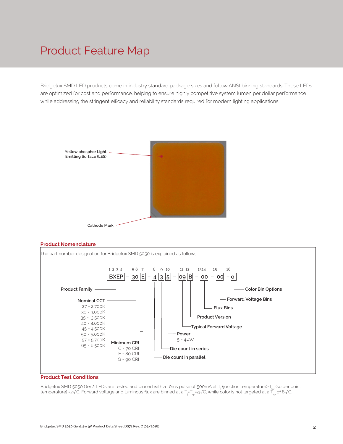### Product Feature Map

Bridgelux SMD LED products come in industry standard package sizes and follow ANSI binning standards. These LEDs are optimized for cost and performance, helping to ensure highly competitive system lumen per dollar performance while addressing the stringent efficacy and reliability standards required for modern lighting applications.







#### **Product Test Conditions**

Bridgelux SMD 5050 Gen2 LEDs are tested and binned with a 10ms pulse of 500mA at T<sub>j</sub> (junction temperature)=T<sub>sp</sub> (solder point temperature) =25°C. Forward voltage and luminous flux are binned at a T<sub>j=</sub>T<sub>sp</sub>=25°C, while color is hot targeted at a T<sub>sp</sub> of 85°C.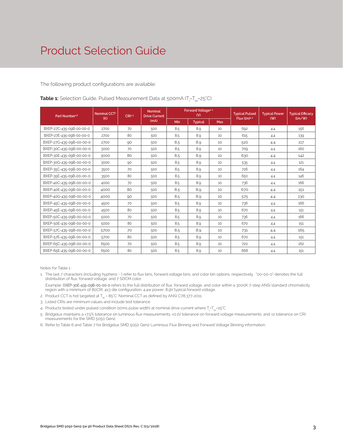The following product configurations are available:

| Part Number <sup>1,6</sup> | Nominal CCT <sup>2</sup> | CRI3.5 | <b>Nominal</b><br><b>Drive Current</b> | <b>Forward Voltage4.5</b><br>(V) |                | <b>Typical Pulsed</b> | <b>Typical Power</b> | <b>Typical Efficacy</b> |               |
|----------------------------|--------------------------|--------|----------------------------------------|----------------------------------|----------------|-----------------------|----------------------|-------------------------|---------------|
|                            | (K)                      |        | (mA)                                   | Min                              | <b>Typical</b> | Max                   | Flux $(lm)^{4.5}$    | ( W )                   | $\frac{1}{2}$ |
| BXEP-27C-435-09B-00-00-0   | 2700                     | 70     | 500                                    | 8.5                              | 8.9            | 10                    | 692                  | 4.4                     | 156           |
| BXEP-27E-435-09B-00-00-0   | 2700                     | 80     | 500                                    | 8.5                              | 8.9            | 10                    | 615                  | 4.4                     | 139           |
| BXEP-27G-435-09B-00-00-0   | 2700                     | 90     | 500                                    | 8.5                              | 8.9            | 10                    | 520                  | 4.4                     | 117           |
| BXEP-30C-435-09B-00-00-0   | 3000                     | 70     | 500                                    | 8.5                              | 8.9            | 10                    | 709                  | 4.4                     | 160           |
| BXEP-30E-435-09B-00-00-0   | 3000                     | 80     | 500                                    | 8.5                              | 8.9            | 10                    | 630                  | 4.4                     | 142           |
| BXEP-30G-435-09B-00-00-0   | 3000                     | 90     | 500                                    | 8.5                              | 8.9            | 10                    | 535                  | 4.4                     | 121           |
| BXEP-35C-435-09B-00-00-0   | 3500                     | 70     | 500                                    | 8.5                              | 8.9            | 10                    | 726                  | 4.4                     | 164           |
| BXEP-35E-435-09B-00-00-0   | 3500                     | 80     | 500                                    | 8.5                              | 8.9            | 10                    | 650                  | 4.4                     | 146           |
| BXEP-40C-435-09B-00-00-0   | 4000                     | 70     | 500                                    | 8.5                              | 8.9            | 10                    | 736                  | 4.4                     | 166           |
| BXEP-40E-435-09B-00-00-0   | 4000                     | 80     | 500                                    | 8.5                              | 8.9            | 10                    | 670                  | 4.4                     | 151           |
| BXEP-40G-435-09B-00-00-0   | 4000                     | 90     | 500                                    | 8.5                              | 8.9            | 10                    | 575                  | 4.4                     | 130           |
| BXEP-45C-435-09B-00-00-0   | 4500                     | 70     | 500                                    | 8.5                              | 8.9            | 10                    | 736                  | 4.4                     | 166           |
| BXEP-45E-435-09B-00-00-0   | 4500                     | 80     | 500                                    | 8.5                              | 8.9            | 10                    | 670                  | 4.4                     | 151           |
| BXEP-50C-435-09B-00-00-0   | 5000                     | 70     | 500                                    | 8.5                              | 8.9            | 10                    | 736                  | 4.4                     | 166           |
| BXEP-50E-435-09B-00-00-0   | 5000                     | 80     | 500                                    | 8.5                              | 8.9            | 10                    | 670                  | 4.4                     | 151           |
| BXEP-57C-435-09B-00-00-0   | 5700                     | 70     | 500                                    | 8.5                              | 8.9            | 10                    | 731                  | 4.4                     | 165           |
| BXEP-57E-435-09B-00-00-0   | 5700                     | 80     | 500                                    | 8.5                              | 8.9            | 10                    | 670                  | 4.4                     | 151           |
| BXEP-65C-435-09B-00-00-0   | 6500                     | 70     | 500                                    | 8.5                              | 8.9            | 10                    | 720                  | 4.4                     | 162           |
| BXEP-65E-435-09B-00-00-0   | 6500                     | 80     | 500                                    | 8.5                              | 8.9            | 10                    | 668                  | 4.4                     | 151           |

**Table 1:** Selection Guide, Pulsed Measurement Data at 500mA (T<sub>j</sub>=T<sub>sp</sub>=25°C)

Notes for Table 1 :

- 1. The last 7 characters (including hyphens '-') refer to flux bins, forward voltage bins, and color bin options, respectively. "00-00-0" denotes the full distribution of flux, forward voltage, and 7 SDCM color.
- Example: BXEP-30E-435-09B-00-00-0 refers to the full distribution of flux, forward voltage, and color within a 3000K 7-step ANSI standard chromaticity region with a minimum of 80CRI, 4x3 die configuration, 4.4w power, 8.9V typical forward voltage.
- 2. Product CCT is hot targeted at  $T_{\text{sn}}$  = 85°C. Nominal CCT as defined by ANSI C78.377-2011.
- 3. Listed CRIs are minimum values and include test tolerance.
- 4. Products tested under pulsed condition (10ms pulse width) at nominal drive current where T<sub>i</sub>-T<sub>sp</sub>-25°C.
- 5. Bridgelux maintains a ±7.5% tolerance on luminous flux measurements, ±0.1V tolerance on forward voltage measurements, and ±2 tolerance on CRI measurements for the SMD 5050 Gen2.
- 6. Refer to Table 6 and Table 7 for Bridgelux SMD 5050 Gen2 Luminous Flux Binning and Forward Voltage Binning information.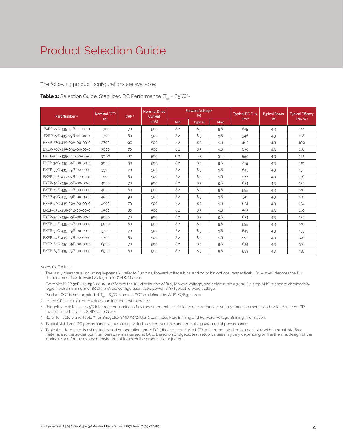### Product Selection Guide

The following product configurations are available:

#### **Table 2:** Selection Guide, Stabilized DC Performance  $(T_{\rm SD} = 85^{\circ}C)^{6.7}$

| Part Number <sup>1,5</sup> | Nominal CCT <sup>2</sup> | CR13.4 | <b>Nominal Drive</b><br>Current | <b>Forward Voltage4</b><br>(V) |                | <b>Typical DC Flux</b> | <b>Typical Power</b> | <b>Typical Efficacy</b> |                                      |
|----------------------------|--------------------------|--------|---------------------------------|--------------------------------|----------------|------------------------|----------------------|-------------------------|--------------------------------------|
|                            | (K)                      |        | (mA)                            | Min                            | <b>Typical</b> | Max                    | (lm) <sup>4</sup>    | (W)                     | $\langle \text{Im}/\text{W} \rangle$ |
| BXEP-27C-435-09B-00-00-0   | 2700                     | 70     | 500                             | 8.2                            | 8.5            | 9.6                    | 615                  | 4.3                     | 144                                  |
| BXEP-27E-435-09B-00-00-0   | 2700                     | 80     | 500                             | 8.2                            | 8.5            | 9.6                    | 546                  | 4.3                     | 128                                  |
| BXEP-27G-435-09B-00-00-0   | 2700                     | 90     | 500                             | 8.2                            | 8.5            | 9.6                    | 462                  | 4.3                     | 109                                  |
| BXEP-30C-435-09B-00-00-0   | 3000                     | 70     | 500                             | 8.2                            | 8.5            | 9.6                    | 630                  | 4.3                     | 148                                  |
| BXEP-30E-435-09B-00-00-0   | 3000                     | 80     | 500                             | 8.2                            | 8.5            | 9.6                    | 559                  | 4.3                     | 131                                  |
| BXEP-30G-435-09B-00-00-0   | 3000                     | 90     | 500                             | 8.2                            | 8.5            | 9.6                    | 475                  | 4.3                     | 112                                  |
| BXEP-35C-435-09B-00-00-0   | 3500                     | 70     | 500                             | 8.2                            | 8.5            | 9.6                    | 645                  | 4.3                     | 152                                  |
| BXEP-35E-435-09B-00-00-0   | 3500                     | 80     | 500                             | 8.2                            | 8.5            | 9.6                    | 577                  | 4.3                     | 136                                  |
| BXEP-40C-435-09B-00-00-0   | 4000                     | 70     | 500                             | 8.2                            | 8.5            | 9.6                    | 654                  | 4.3                     | 154                                  |
| BXEP-40E-435-09B-00-00-0   | 4000                     | 80     | 500                             | 8.2                            | 8.5            | 9.6                    | 595                  | 4.3                     | 140                                  |
| BXEP-40G-435-09B-00-00-0   | 4000                     | 90     | 500                             | 8.2                            | 8.5            | 9.6                    | 511                  | 4.3                     | 120                                  |
| BXEP-45C-435-09B-00-00-0   | 4500                     | 70     | 500                             | 8.2                            | 8.5            | 9.6                    | 654                  | 4.3                     | 154                                  |
| BXEP-45E-435-09B-00-00-0   | 4500                     | 80     | 500                             | 8.2                            | 8.5            | 9.6                    | 595                  | 4.3                     | 140                                  |
| BXEP-50C-435-09B-00-00-0   | 5000                     | 70     | 500                             | 8.2                            | 8.5            | 9.6                    | 654                  | 4.3                     | 154                                  |
| BXEP-50E-435-09B-00-00-0   | 5000                     | 80     | 500                             | 8.2                            | 8.5            | 9.6                    | 595                  | 4.3                     | 140                                  |
| BXEP-57C-435-09B-00-00-0   | 5700                     | 70     | 500                             | 8.2                            | 8.5            | 9.6                    | 649                  | 4.3                     | 153                                  |
| BXEP-57E-435-09B-00-00-0   | 5700                     | 80     | 500                             | 8.2                            | 8.5            | 9.6                    | 595                  | 4.3                     | 140                                  |
| BXEP-65C-435-09B-00-00-0   | 6500                     | 70     | 500                             | 8.2                            | 8.5            | 9.6                    | 639                  | 4.3                     | 150                                  |
| BXEP-65E-435-09B-00-00-0   | 6500                     | 80     | 500                             | 8.2                            | 8.5            | 9.6                    | 593                  | 4.3                     | 139                                  |

Notes for Table 2:

- 1. The last 7 characters (including hyphens '-') refer to flux bins, forward voltage bins, and color bin options, respectively. "00-00-0" denotes the full distribution of flux, forward voltage, and 7 SDCM color.
- Example: BXEP-30E-435-09B-00-00-0 refers to the full distribution of flux, forward voltage, and color within a 3000K 7-step ANSI standard chromaticity region with a minimum of 80CRI, 4x3 die configuration, 4.4w power, 8.9V typical forward voltage.
- 2. Product CCT is hot targeted at T<sub>co</sub> = 85°C. Nominal CCT as defined by ANSI C78.377-2011.
- 3. Listed CRIs are minimum values and include test tolerance.
- 4. Bridgelux maintains a ±7.5% tolerance on luminous flux measurements, ±0.1V tolerance on forward voltage measurements, and ±2 tolerance on CRI measurements for the SMD 5050 Gen2.
- 5. Refer to Table 6 and Table 7 for Bridgelux SMD 5050 Gen2 Luminous Flux Binning and Forward Voltage Binning information.
- 6. Typical stabilized DC performance values are provided as reference only and are not a guarantee of performance.
- 7. Typical performance is estimated based on operation under DC (direct current) with LED emitter mounted onto a heat sink with thermal interface material and the solder point temperature maintained at 85°C. Based on Bridgelux test setup, values may vary depending on the thermal design of the luminaire and/or the exposed environment to which the product is subjected.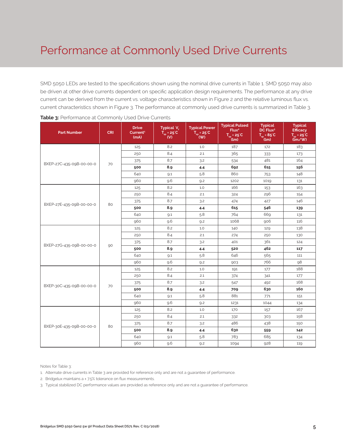SMD 5050 LEDs are tested to the specifications shown using the nominal drive currents in Table 1. SMD 5050 may also be driven at other drive currents dependent on specific application design requirements. The performance at any drive current can be derived from the current vs. voltage characteristics shown in Figure 2 and the relative luminous flux vs. current characteristics shown in Figure 3. The performance at commonly used drive currents is summarized in Table 3.

| <b>Part Number</b>       | <b>CRI</b> | <b>Drive</b><br>Current <sup>1</sup><br>(mA) | Typical V<br>$T_{\rm sp}$ = 25 °C<br>(V) | <b>Typical Power</b><br>$T_{\rm sp}$ = 25°C<br>(W) | <b>Typical Pulsed</b><br>Flux <sup>2</sup><br>$T_{sp} = 25^{\circ}C$<br>(lm) | <b>Typical</b><br>DC Flux <sup>3</sup><br>$T_{sp} = 85^{\circ}C$<br>(lm) | <b>Typical</b><br><b>Efficacy</b><br>$T_{sp} = 25^{\circ}C$<br>(lm/W) |
|--------------------------|------------|----------------------------------------------|------------------------------------------|----------------------------------------------------|------------------------------------------------------------------------------|--------------------------------------------------------------------------|-----------------------------------------------------------------------|
|                          |            | 125                                          | 8.2                                      | 1.0                                                | 187                                                                          | 172                                                                      | 183                                                                   |
|                          |            | 250                                          | 8.4                                      | 2.1                                                | 365                                                                          | 333                                                                      | 173                                                                   |
|                          |            | 375                                          | 8.7                                      | 3.2                                                | 534                                                                          | 481                                                                      | 164                                                                   |
| BXEP-27C-435-09B-00-00-0 | 70         | 500                                          | 8.9                                      | 4.4                                                | 692                                                                          | 615                                                                      | 156                                                                   |
|                          |            | 640                                          | 9.1                                      | 5.8                                                | 860                                                                          | 753                                                                      | 148                                                                   |
|                          |            | 960                                          | 9.6                                      | 9.2                                                | 1202                                                                         | 1019                                                                     | 131                                                                   |
|                          |            | 125                                          | 8.2                                      | 1.0                                                | 166                                                                          | 153                                                                      | 163                                                                   |
|                          |            | 250                                          | 8.4                                      | 2.1                                                | 324                                                                          | 296                                                                      | 154                                                                   |
| BXEP-27E-435-09B-00-00-0 | 80         | 375                                          | 8.7                                      | 3.2                                                | 474                                                                          | 427                                                                      | 146                                                                   |
|                          |            | 500                                          | 8.9                                      | 4.4                                                | 615                                                                          | 546                                                                      | 139                                                                   |
|                          |            | 640                                          | 9.1                                      | 5.8                                                | 764                                                                          | 669                                                                      | 131                                                                   |
|                          |            | 960                                          | 9.6                                      | 9.2                                                | 1068                                                                         | 906                                                                      | 116                                                                   |
|                          |            | 125                                          | 8.2                                      | 1.0                                                | 140                                                                          | 129                                                                      | 138                                                                   |
|                          |            | 250                                          | 8.4                                      | 2.1                                                | 274                                                                          | 250                                                                      | 130                                                                   |
| BXEP-27G-435-09B-00-00-0 | 90         | 375                                          | 8.7                                      | 3.2                                                | 401                                                                          | 361                                                                      | 124                                                                   |
|                          |            | 500                                          | 8.9                                      | 4.4                                                | 520                                                                          | 462                                                                      | 117                                                                   |
|                          |            | 640                                          | 9.1                                      | 5.8                                                | 646                                                                          | 565                                                                      | 111                                                                   |
|                          |            | 960                                          | 9.6                                      | 9.2                                                | 903                                                                          | 766                                                                      | 98                                                                    |
|                          |            | 125                                          | 8.2                                      | 1.0                                                | 191                                                                          | 177                                                                      | 188                                                                   |
|                          |            | 250                                          | 8.4                                      | 2.1                                                | 374                                                                          | 341                                                                      | 177                                                                   |
| BXEP-30C-435-09B-00-00-0 | 70         | 375                                          | 8.7                                      | 3.2                                                | 547                                                                          | 492                                                                      | 168                                                                   |
|                          |            | 500                                          | 8.9                                      | 4.4                                                | 709                                                                          | 630                                                                      | 160                                                                   |
|                          |            | 640                                          | 9.1                                      | 5.8                                                | 881                                                                          | 771                                                                      | 151                                                                   |
|                          |            | 960                                          | 9.6                                      | 9.2                                                | 1231                                                                         | 1044                                                                     | 134                                                                   |
|                          |            | 125                                          | 8.2                                      | 1.0                                                | 170                                                                          | 157                                                                      | 167                                                                   |
|                          |            | 250                                          | 8.4                                      | 2.1                                                | 332                                                                          | 303                                                                      | 158                                                                   |
| BXEP-30E-435-09B-00-00-0 | 80         | 375                                          | 8.7                                      | 3.2                                                | 486                                                                          | 438                                                                      | 150                                                                   |
|                          |            | 500                                          | 8.9                                      | 4.4                                                | 630                                                                          | 559                                                                      | 142                                                                   |
|                          |            | 640                                          | 9.1                                      | 5.8                                                | 783                                                                          | 685                                                                      | 134                                                                   |
|                          |            | 960                                          | 9.6                                      | 9.2                                                | 1094                                                                         | 928                                                                      | 119                                                                   |

| Table 3: Performance at Commonly Used Drive Currents |  |  |  |
|------------------------------------------------------|--|--|--|
|------------------------------------------------------|--|--|--|

Notes for Table 3:

1. Alternate drive currents in Table 3 are provided for reference only and are not a guarantee of performance.

2. Bridgelux maintains a  $\pm$  7.5% tolerance on flux measurements.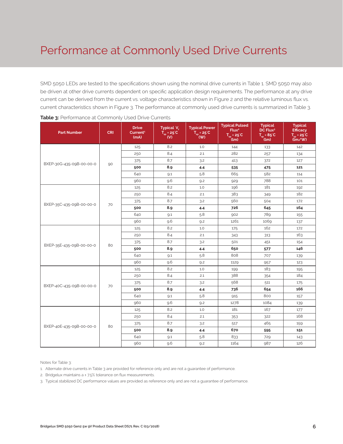SMD 5050 LEDs are tested to the specifications shown using the nominal drive currents in Table 1. SMD 5050 may also be driven at other drive currents dependent on specific application design requirements. The performance at any drive current can be derived from the current vs. voltage characteristics shown in Figure 2 and the relative luminous flux vs. current characteristics shown in Figure 3. The performance at commonly used drive currents is summarized in Table 3.

| <b>Part Number</b>       | <b>CRI</b> | <b>Drive</b><br>Current <sup>1</sup><br>(mA) | Typical V.<br>$\overline{T_{\rm sp}}$ = 25 <sup>°</sup> C<br>$\mathbf{w}$ | <b>Typical Power</b><br>$T_{sp}$ = 25°C<br>(W) | <b>Typical Pulsed</b><br>Flux <sup>2</sup><br>$T_{sp} = 25^{\circ}C$<br>(lm) | <b>Typical</b><br>DC Flux <sup>3</sup><br>$T_{sp} = 85^{\circ}C$<br>(lm) | <b>Typical</b><br><b>Efficacy</b><br>$T_{sp} = 25^{\circ}C$<br>(lm/W) |
|--------------------------|------------|----------------------------------------------|---------------------------------------------------------------------------|------------------------------------------------|------------------------------------------------------------------------------|--------------------------------------------------------------------------|-----------------------------------------------------------------------|
|                          |            | 125                                          | 8.2                                                                       | 1.0                                            | 144                                                                          | 133                                                                      | 142                                                                   |
|                          |            | 250                                          | 8.4                                                                       | 2.1                                            | 282                                                                          | 257                                                                      | 134                                                                   |
| BXEP-30G-435-09B-00-00-0 |            | 375                                          | 8.7                                                                       | 3.2                                            | 413                                                                          | 372                                                                      | 127                                                                   |
|                          | 90         | 500                                          | 8.9                                                                       | 4.4                                            | 535                                                                          | 475                                                                      | 121                                                                   |
|                          |            | 640                                          | 9.1                                                                       | 5.8                                            | 665                                                                          | 582                                                                      | 114                                                                   |
|                          |            | 960                                          | 9.6                                                                       | 9.2                                            | 929                                                                          | 788                                                                      | 101                                                                   |
|                          |            | 125                                          | 8.2                                                                       | 1.0                                            | 196                                                                          | 181                                                                      | 192                                                                   |
|                          |            | 250                                          | 8.4                                                                       | 2.1                                            | 383                                                                          | 349                                                                      | 182                                                                   |
| BXEP-35C-435-09B-00-00-0 | 70         | 375                                          | 8.7                                                                       | 3.2                                            | 560                                                                          | 504                                                                      | 172                                                                   |
|                          |            | 500                                          | 8.9                                                                       | 4.4                                            | 726                                                                          | 645                                                                      | 164                                                                   |
|                          |            | 640                                          | 9.1                                                                       | 5.8                                            | 902                                                                          | 789                                                                      | 155                                                                   |
|                          |            | 960                                          | 9.6                                                                       | 9.2                                            | 1261                                                                         | 1069                                                                     | 137                                                                   |
|                          | 80         | 125                                          | 8.2                                                                       | 1.0                                            | 175                                                                          | 162                                                                      | 172                                                                   |
|                          |            | 250                                          | 8.4                                                                       | 2.1                                            | 343                                                                          | 313                                                                      | 163                                                                   |
| BXEP-35E-435-09B-00-00-0 |            | 375                                          | 8.7                                                                       | 3.2                                            | 501                                                                          | 451                                                                      | 154                                                                   |
|                          |            | 500                                          | 8.9                                                                       | 4.4                                            | 650                                                                          | 577                                                                      | 146                                                                   |
|                          |            | 640                                          | 9.1                                                                       | 5.8                                            | 808                                                                          | 707                                                                      | 139                                                                   |
|                          |            | 960                                          | 9.6                                                                       | 9.2                                            | 1129                                                                         | 957                                                                      | 123                                                                   |
|                          |            | 125                                          | 8.2                                                                       | 1.0                                            | 199                                                                          | 183                                                                      | 195                                                                   |
|                          |            | 250                                          | 8.4                                                                       | 2.1                                            | 388                                                                          | 354                                                                      | 184                                                                   |
| BXEP-40C-435-09B-00-00-0 | 70         | 375                                          | 8.7                                                                       | 3.2                                            | 568                                                                          | 511                                                                      | 175                                                                   |
|                          |            | 500                                          | 8.9                                                                       | 4.4                                            | 736                                                                          | 654                                                                      | 166                                                                   |
|                          |            | 640                                          | 9.1                                                                       | 5.8                                            | 915                                                                          | 800                                                                      | 157                                                                   |
|                          |            | 960                                          | 9.6                                                                       | 9.2                                            | 1278                                                                         | 1084                                                                     | 139                                                                   |
|                          |            | 125                                          | 8.2                                                                       | 1.0                                            | 181                                                                          | 167                                                                      | 177                                                                   |
|                          |            | 250                                          | 8.4                                                                       | 2.1                                            | 353                                                                          | 322                                                                      | 168                                                                   |
| BXEP-40E-435-09B-00-00-0 | 80         | 375                                          | 8.7                                                                       | 3.2                                            | 517                                                                          | 465                                                                      | 159                                                                   |
|                          |            | 500                                          | 8.9                                                                       | 4.4                                            | 670                                                                          | 595                                                                      | 151                                                                   |
|                          |            | 640                                          | 9.1                                                                       | 5.8                                            | 833                                                                          | 729                                                                      | 143                                                                   |
|                          |            | 960                                          | 9.6                                                                       | 9.2                                            | 1164                                                                         | 987                                                                      | 126                                                                   |

Notes for Table 3:

1. Alternate drive currents in Table 3 are provided for reference only and are not a guarantee of performance.

2. Bridgelux maintains a ± 7.5% tolerance on flux measurements.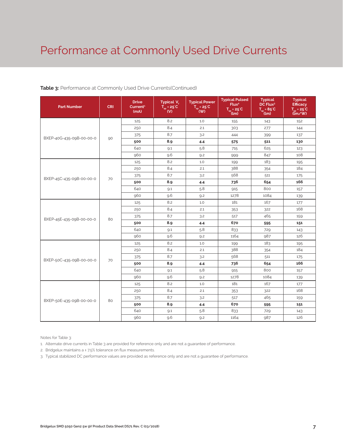#### **Table 3:** Performance at Commonly Used Drive Currents(Continued)

| <b>Part Number</b>       | <b>CRI</b> | <b>Drive</b><br>Current <sup>1</sup><br>(mA) | Typical V <sub>r</sub><br>$\overrightarrow{T}_{sp}$ = 25°C <sup>'</sup> | <b>Typical Power</b><br>$T_{sp} = 25^{\circ}C$<br>(W) | <b>Typical Pulsed</b><br>Flux <sup>2</sup><br>$\overline{T_{\rm SD}}$ = 25 <sup>°</sup> C<br>(lm) | <b>Typical</b><br>DC Flux <sup>3</sup><br>$\overline{T_{\rm SD}}$ = 85 <sup>°</sup> C<br>(lm) | <b>Typical</b><br><b>Efficacy</b><br>$T_{\rm SD}$ = 25°C<br>$\lim_{y \to 0}$ |
|--------------------------|------------|----------------------------------------------|-------------------------------------------------------------------------|-------------------------------------------------------|---------------------------------------------------------------------------------------------------|-----------------------------------------------------------------------------------------------|------------------------------------------------------------------------------|
|                          |            | 125                                          | 8.2                                                                     | 1.0                                                   | 155                                                                                               | 143                                                                                           | 152                                                                          |
|                          |            | 250                                          | 8.4                                                                     | 2.1                                                   | 303                                                                                               | 277                                                                                           | 144                                                                          |
| BXEP-40G-435-09B-00-00-0 |            | 375                                          | 8.7                                                                     | 3.2                                                   | 444                                                                                               | 399                                                                                           | 137                                                                          |
|                          | 90         | 500                                          | 8.9                                                                     | 4.4                                                   | 575                                                                                               | 511                                                                                           | 130                                                                          |
|                          |            | 640                                          | 9.1                                                                     | 5.8                                                   | 715                                                                                               | 625                                                                                           | 123                                                                          |
|                          |            | 960                                          | 9.6                                                                     | 9.2                                                   | 999                                                                                               | 847                                                                                           | 108                                                                          |
|                          |            | 125                                          | 8.2                                                                     | 1.0                                                   | 199                                                                                               | 183                                                                                           | 195                                                                          |
|                          |            | 250                                          | 8.4                                                                     | 2.1                                                   | 388                                                                                               | 354                                                                                           | 184                                                                          |
| BXEP-45C-435-09B-00-00-0 | 70         | 375                                          | 8.7                                                                     | 3.2                                                   | 568                                                                                               | 511                                                                                           | 175                                                                          |
|                          |            | 500                                          | 8.9                                                                     | 4.4                                                   | 736                                                                                               | 654                                                                                           | 166                                                                          |
|                          |            | 640                                          | 9.1                                                                     | 5.8                                                   | 915                                                                                               | 800                                                                                           | 157                                                                          |
|                          |            | 960                                          | 9.6                                                                     | 9.2                                                   | 1278                                                                                              | 1084                                                                                          | 139                                                                          |
|                          | 80         | 125                                          | 8.2                                                                     | 1.0                                                   | 181                                                                                               | 167                                                                                           | 177                                                                          |
|                          |            | 250                                          | 8.4                                                                     | 2.1                                                   | 353                                                                                               | 322                                                                                           | 168                                                                          |
| BXEP-45E-435-09B-00-00-0 |            | 375                                          | 8.7                                                                     | 3.2                                                   | 517                                                                                               | 465                                                                                           | 159                                                                          |
|                          |            | 500                                          | 8.9                                                                     | 4.4                                                   | 670                                                                                               | 595                                                                                           | 151                                                                          |
|                          |            | 640                                          | 9.1                                                                     | 5.8                                                   | 833                                                                                               | 729                                                                                           | 143                                                                          |
|                          |            | 960                                          | 9.6                                                                     | 9.2                                                   | 1164                                                                                              | 987                                                                                           | 126                                                                          |
|                          |            | 125                                          | 8.2                                                                     | 1.0                                                   | 199                                                                                               | 183                                                                                           | 195                                                                          |
|                          |            | 250                                          | 8.4                                                                     | 2.1                                                   | 388                                                                                               | 354                                                                                           | 184                                                                          |
| BXEP-50C-435-09B-00-00-0 | 70         | 375                                          | 8.7                                                                     | 3.2                                                   | 568                                                                                               | 511                                                                                           | 175                                                                          |
|                          |            | 500                                          | 8.9                                                                     | 4.4                                                   | 736                                                                                               | 654                                                                                           | 166                                                                          |
|                          |            | 640                                          | 9.1                                                                     | 5.8                                                   | 915                                                                                               | 800                                                                                           | 157                                                                          |
|                          |            | 960                                          | 9.6                                                                     | 9.2                                                   | 1278                                                                                              | 1084                                                                                          | 139                                                                          |
|                          |            | 125                                          | 8.2                                                                     | 1.0                                                   | 181                                                                                               | 167                                                                                           | 177                                                                          |
|                          |            | 250                                          | 8.4                                                                     | 2.1                                                   | 353                                                                                               | 322                                                                                           | 168                                                                          |
| BXEP-50E-435-09B-00-00-0 | 80         | 375                                          | 8.7                                                                     | 3.2                                                   | 517                                                                                               | 465                                                                                           | 159                                                                          |
|                          |            | 500                                          | 8.9                                                                     | 4.4                                                   | 670                                                                                               | 595                                                                                           | 151                                                                          |
|                          |            | 640                                          | 9.1                                                                     | 5.8                                                   | 833                                                                                               | 729                                                                                           | 143                                                                          |
|                          |            | 960                                          | 9.6                                                                     | 9.2                                                   | 1164                                                                                              | 987                                                                                           | 126                                                                          |

Notes for Table 3:

1. Alternate drive currents in Table 3 are provided for reference only and are not a guarantee of performance.

2. Bridgelux maintains a ± 7.5% tolerance on flux measurements.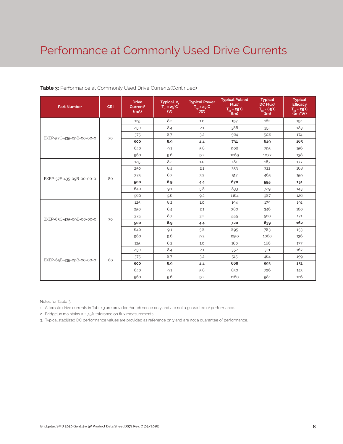#### **Table 3:** Performance at Commonly Used Drive Currents(Continued)

| <b>Part Number</b>       | <b>CRI</b> | <b>Drive</b><br>Current <sup>1</sup><br>(mA) | Typical V <sub>f</sub><br>$T_{sp} = 25^{\circ}C$<br>(V) | <b>Typical Power</b><br>$T_{sp} = 25^{\circ}C$<br>(W) | <b>Typical Pulsed</b><br>Flux <sup>2</sup><br>$T_{\rm sp} = 25^{\circ}\text{C}$ (lm) | <b>Typical</b><br>DC Flux <sup>3</sup><br>$T_{\rm sp} = 85^{\circ}\text{C}$ (lm) | <b>Typical</b><br><b>Efficacy</b><br>$T_{sp} = 25^{\circ}C$<br>(lm/W) |
|--------------------------|------------|----------------------------------------------|---------------------------------------------------------|-------------------------------------------------------|--------------------------------------------------------------------------------------|----------------------------------------------------------------------------------|-----------------------------------------------------------------------|
|                          |            | 125                                          | 8.2                                                     | 1.0                                                   | 197                                                                                  | 182                                                                              | 194                                                                   |
|                          |            | 250                                          | 8.4                                                     | 2.1                                                   | 386                                                                                  | 352                                                                              | 183                                                                   |
| BXEP-57C-435-09B-00-00-0 | 70         | 375                                          | 8.7                                                     | 3.2                                                   | 564                                                                                  | 508                                                                              | 174                                                                   |
|                          |            | 500                                          | 8.9                                                     | 4.4                                                   | 731                                                                                  | 649                                                                              | 165                                                                   |
|                          |            | 640                                          | 9.1                                                     | 5.8                                                   | 908                                                                                  | 795                                                                              | 156                                                                   |
|                          |            | 960                                          | 9.6                                                     | 9.2                                                   | 1269                                                                                 | 1077                                                                             | 138                                                                   |
|                          |            | 125                                          | 8.2                                                     | 1.0                                                   | 181                                                                                  | 167                                                                              | 177                                                                   |
|                          |            | 250                                          | 8.4                                                     | 2.1                                                   | 353                                                                                  | 322                                                                              | 168                                                                   |
| BXEP-57E-435-09B-00-00-0 | 80         | 375                                          | 8.7                                                     | 3.2                                                   | 517                                                                                  | 465                                                                              | 159                                                                   |
|                          |            | 500                                          | 8.9                                                     | 4.4                                                   | 670                                                                                  | 595                                                                              | 151                                                                   |
|                          |            | 640                                          | 9.1                                                     | 5.8                                                   | 833                                                                                  | 729                                                                              | 143                                                                   |
|                          |            | 960                                          | 9.6                                                     | 9.2                                                   | 1164                                                                                 | 987                                                                              | 126                                                                   |
|                          |            | 125                                          | 8.2                                                     | 1.0                                                   | 194                                                                                  | 179                                                                              | 191                                                                   |
|                          |            | 250                                          | 8.4                                                     | 2.1                                                   | 380                                                                                  | 346                                                                              | 180                                                                   |
| BXEP-65C-435-09B-00-00-0 | 70         | 375                                          | 8.7                                                     | 3.2                                                   | 555                                                                                  | 500                                                                              | 171                                                                   |
|                          |            | 500                                          | 8.9                                                     | 4.4                                                   | 720                                                                                  | 639                                                                              | 162                                                                   |
|                          |            | 640                                          | 9.1                                                     | 5.8                                                   | 895                                                                                  | 783                                                                              | 153                                                                   |
|                          |            | 960                                          | 9.6                                                     | 9.2                                                   | 1250                                                                                 | 1060                                                                             | 136                                                                   |
|                          |            | 125                                          | 8.2                                                     | 1.0                                                   | 180                                                                                  | 166                                                                              | 177                                                                   |
|                          |            | 250                                          | 8.4                                                     | 2.1                                                   | 352                                                                                  | 321                                                                              | 167                                                                   |
| BXEP-65E-435-09B-00-00-0 | 80         | 375                                          | 8.7                                                     | 3.2                                                   | 515                                                                                  | 464                                                                              | 159                                                                   |
|                          |            | 500                                          | 8.9                                                     | 4.4                                                   | 668                                                                                  | 593                                                                              | 151                                                                   |
|                          |            | 640                                          | 9.1                                                     | 5.8                                                   | 830                                                                                  | 726                                                                              | 143                                                                   |
|                          |            | 960                                          | 9.6                                                     | 9.2                                                   | 1160                                                                                 | 984                                                                              | 126                                                                   |

Notes for Table 3:

1. Alternate drive currents in Table 3 are provided for reference only and are not a guarantee of performance.

2. Bridgelux maintains a ± 7.5% tolerance on flux measurements.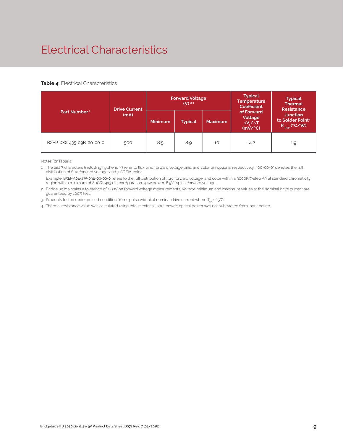### Electrical Characteristics

#### **Table 4:** Electrical Characteristics

|                          | <b>Drive Current</b> |                | <b>Forward Voltage</b><br>$(V)$ <sup>2.3</sup> |                | <b>Typical</b><br>Temperature<br><b>Coefficient</b>         | <b>Typical</b><br><b>Thermal</b><br><b>Resistance</b>                |
|--------------------------|----------------------|----------------|------------------------------------------------|----------------|-------------------------------------------------------------|----------------------------------------------------------------------|
| Part Number <sup>1</sup> | (mA)                 | <b>Minimum</b> | <b>Typical</b>                                 | <b>Maximum</b> | of Forward<br>Voltage<br>$\Delta V \sim \Delta T$<br>(mV/C) | <b>Junction</b><br>to Solder Point <sup>4</sup><br>$R_{j-sp}$ (°C/W) |
| BXEP-XXX-435-09B-00-00-0 | 500                  | 8.5            | 8.9                                            | 10             | $-4.2$                                                      | 1.9                                                                  |

Notes for Table 4:

1. The last 7 characters (including hyphens '-') refer to flux bins, forward voltage bins, and color bin options, respectively. "00-00-0" denotes the full distribution of flux, forward voltage, and 7 SDCM color.

 Example: BXEP-30E-435-09B-00-00-0 refers to the full distribution of flux, forward voltage, and color within a 3000K 7-step ANSI standard chromaticity region with a minimum of 80CRI, 4x3 die configuration, 4.4w power, 8.9V typical forward voltage.

2. Bridgelux maintains a tolerance of ± 0.1V on forward voltage measurements. Voltage minimum and maximum values at the nominal drive current are guaranteed by 100% test.

3. Products tested under pulsed condition (10ms pulse width) at nominal drive current where  $T_{\rm es}$  = 25°C.

4. Thermal resistance value was calculated using total electrical input power; optical power was not subtracted from input power.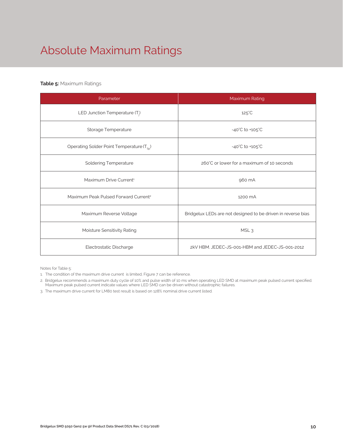## Absolute Maximum Ratings

### **Table 5:** Maximum Ratings

| Parameter                                             | Maximum Rating                                               |
|-------------------------------------------------------|--------------------------------------------------------------|
| LED Junction Temperature (T <sub>i</sub> )            | $125^{\circ}$ C                                              |
| Storage Temperature                                   | $-40^{\circ}$ C to $+105^{\circ}$ C                          |
| Operating Solder Point Temperature (T <sub>Sp</sub> ) | $-40^{\circ}$ C to $+105^{\circ}$ C                          |
| <b>Soldering Temperature</b>                          | 260°C or lower for a maximum of 10 seconds                   |
| Maximum Drive Current <sup>1</sup>                    | 960 mA                                                       |
| Maximum Peak Pulsed Forward Current <sup>2</sup>      | 1200 mA                                                      |
| Maximum Reverse Voltage                               | Bridgelux LEDs are not designed to be driven in reverse bias |
| Moisture Sensitivity Rating                           | MSL <sub>3</sub>                                             |
| Electrostatic Discharge                               | 2kV HBM, JEDEC-JS-001-HBM and JEDEC-JS-001-2012              |

Notes for Table 5:

1. The condition of the maximum drive current is limited, Figure 7 can be reference.

2. Bridgelux recommends a maximum duty cycle of 10% and pulse width of 10 ms when operating LED SMD at maximum peak pulsed current specified. Maximum peak pulsed current indicate values where LED SMD can be driven without catastrophic failures.

3. The maximum drive current for LM80 test result is based on 128% nominal drive current listed.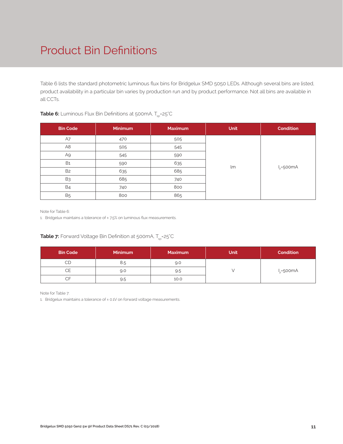### Product Bin Definitions

Table 6 lists the standard photometric luminous flux bins for Bridgelux SMD 5050 LEDs. Although several bins are listed, product availability in a particular bin varies by production run and by product performance. Not all bins are available in all CCTs.

| <b>Bin Code</b> | <b>Minimum</b> | <b>Maximum</b> | Unit | <b>Condition</b> |
|-----------------|----------------|----------------|------|------------------|
| A7              | 470            | 505            |      |                  |
| A <sub>8</sub>  | 505            | 545            |      |                  |
| A9              | 545            | 590            |      |                  |
| <b>B1</b>       | 590            | 635            | lm   |                  |
| B <sub>2</sub>  | 635            | 685            |      | $I_F = 500mA$    |
| B <sub>3</sub>  | 685            | 740            |      |                  |
| <b>B4</b>       | 740            | 800            |      |                  |
| <b>B5</b>       | 800            | 865            |      |                  |

### **Table 6:** Luminous Flux Bin Definitions at 500mA, T<sub>sp</sub>=25°C

Note for Table 6:

1. Bridgelux maintains a tolerance of ±7.5% on luminous flux measurements.

### **Table 7:** Forward Voltage Bin Definition at 500mA, T<sub>sp</sub>=25°C

| <b>Bin Code</b> | <b>Minimum</b> | <b>Maximum</b> | <b>Unit</b> | <b>Condition</b> |
|-----------------|----------------|----------------|-------------|------------------|
| CD              | 8.5            | 9.0            |             |                  |
| CЕ              | 9.0            | 9.5            |             | $I_{E}$ =500mA   |
| CF              | 9.5            | 10.0           |             |                  |

Note for Table 7:

1. Bridgelux maintains a tolerance of ± 0.1V on forward voltage measurements.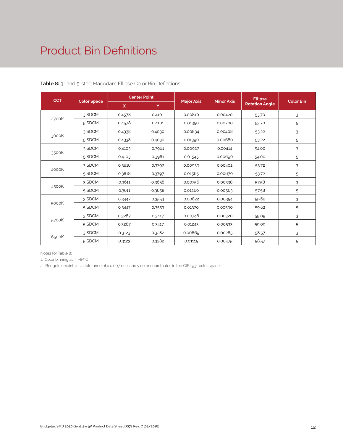### Product Bin Definitions

| <b>CCT</b> | <b>Color Space</b> | <b>Center Point</b> |        |                   |                   | <b>Ellipse</b>        |                  |
|------------|--------------------|---------------------|--------|-------------------|-------------------|-----------------------|------------------|
|            |                    | $\mathsf{x}$        | Y      | <b>Major Axis</b> | <b>Minor Axis</b> | <b>Rotation Angle</b> | <b>Color Bin</b> |
| 2700K      | 3 SDCM             | 0.4578              | 0.4101 | 0.00810           | 0.00420           | 53.70                 | 3                |
|            | 5 SDCM             | 0.4578              | 0.4101 | 0.01350           | 0.00700           | 53.70                 | 5                |
| 3000K      | 3 SDCM             | 0.4338              | 0.4030 | 0.00834           | 0.00408           | 53.22                 | 3                |
|            | 5 SDCM             | 0.4338              | 0.4030 | 0.01390           | 0.00680           | 53.22                 | 5                |
| 3500K      | 3 SDCM             | 0.4103              | 0.3961 | 0.00927           | 0.00414           | 54.00                 | 3                |
|            | 5 SDCM             | 0.4103              | 0.3961 | 0.01545           | 0.00690           | 54.00                 | 5                |
| 4000K      | 3 SDCM             | 0.3818              | 0.3797 | 0.00939           | 0.00402           | 53.72                 | 3                |
|            | 5 SDCM             | 0.3818              | 0.3797 | 0.01565           | 0.00670           | 53.72                 | 5                |
| 4500K      | 3 SDCM             | 0.3611              | 0.3658 | 0.00756           | 0.00338           | 57.58                 | 3                |
|            | 5 SDCM             | 0.3611              | 0.3658 | 0.01260           | 0.00563           | 57.58                 | 5                |
| 5000K      | 3 SDCM             | 0.3447              | 0.3553 | 0.00822           | 0.00354           | 59.62                 | 3                |
|            | 5 SDCM             | 0.3447              | 0.3553 | 0.01370           | 0.00590           | 59.62                 | 5                |
| 5700K      | 3 SDCM             | 0.3287              | 0.3417 | 0.00746           | 0.00320           | 59.09                 | 3                |
|            | 5 SDCM             | 0.3287              | 0.3417 | 0.01243           | 0.00533           | 59.09                 | 5                |
| 6500K      | 3 SDCM             | 0.3123              | 0.3282 | 0.00669           | 0.00285           | 58.57                 | 3                |
|            | 5 SDCM             | 0.3123              | 0.3282 | 0.01115           | 0.00475           | 58.57                 | 5                |

**Table 8:** 3- and 5-step MacAdam Ellipse Color Bin Definitions

Notes for Table 8:

1. Color binning at  $T_{\rm so}$ =85°C

2. Bridgelux maintains a tolerance of ± 0.007 on x and y color coordinates in the CIE 1931 color space.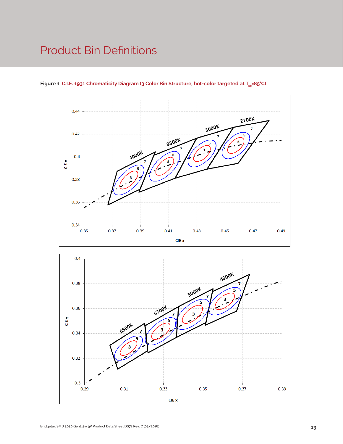### Product Bin Definitions



Figure 1: C.I.E. 1931 Chromaticity Diagram (3 Color Bin Structure, hot-color targeted at T<sub>sp</sub>=85°C)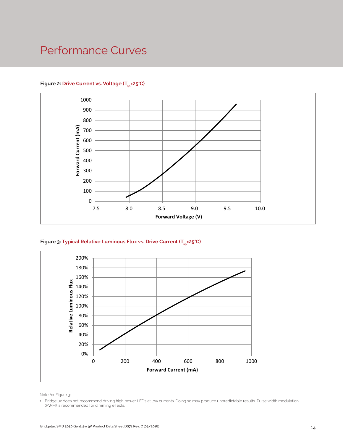### Performance Curves



#### Figure 2: Drive Current vs. Voltage (T<sub>cn</sub>=25°C)





Note for Figure 3:

1. Bridgelux does not recommend driving high power LEDs at low currents. Doing so may produce unpredictable results. Pulse width modulation (PWM) is recommended for dimming effects.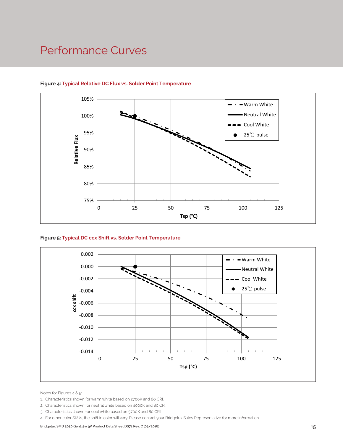### Performance Curves



### **Figure 4: Typical Relative DC Flux vs. Solder Point Temperature**





Notes for Figures 4 & 5:

- 1. Characteristics shown for warm white based on 2700K and 80 CRI.
- 2. Characteristics shown for neutral white based on 4000K and 80 CRI.
- 3. Characteristics shown for cool white based on 5700K and 80 CRI.
- 4. For other color SKUs, the shift in color will vary. Please contact your Bridgelux Sales Representative for more information.

**Bridgelux SMD 5050 Gen2 5w 9V Product Data Sheet DS71 Rev. C (03/2018) 15**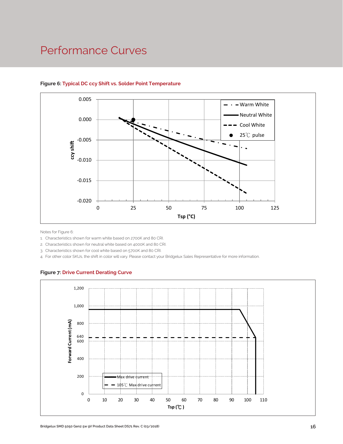### Performance Curves



### **Figure 6: Typical DC ccy Shift vs. Solder Point Temperature**

Notes for Figure 6:

1. Characteristics shown for warm white based on 2700K and 80 CRI.

2. Characteristics shown for neutral white based on 4000K and 80 CRI.

3. Characteristics shown for cool white based on 5700K and 80 CRI.

4. For other color SKUs, the shift in color will vary. Please contact your Bridgelux Sales Representative for more information.

#### **Figure 7: Drive Current Derating Curve**

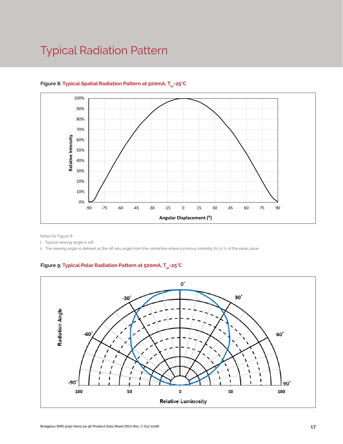### Typical Radiation Pattern



### Figure 8: Typical Spatial Radiation Pattern at 500mA, T<sub>sp</sub>=25°C

Notes for Figure 8:

1. Typical viewing angle is 116°.

2. The viewing angle is defined as the off axis angle from the centerline where luminous intensity (Iv) is ½ of the peak value.

### Figure 9: Typical Polar Radiation Pattern at 500mA, T<sub>sp</sub>=25°C

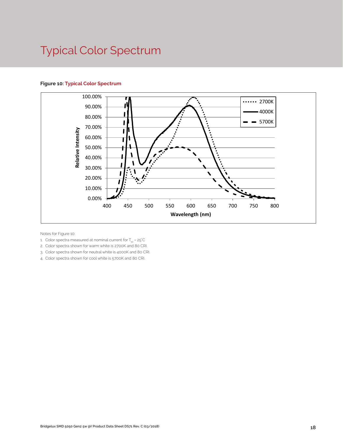### Typical Color Spectrum

#### **Figure 10: Typical Color Spectrum**



Notes for Figure 10:

- 1. Color spectra measured at nominal current for  $T_{\rm so}$  = 25°C
- 2. Color spectra shown for warm white is 2700K and 80 CRI.
- 3. Color spectra shown for neutral white is 4000K and 80 CRI.
- 4. Color spectra shown for cool white is 5700K and 80 CRI.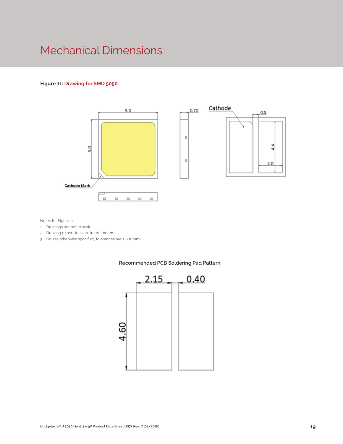### Mechanical Dimensions

#### **Figure 11: Drawing for SMD 5050**





Notes for Figure 11:

- 1. Drawings are not to scale.
- 2. Drawing dimensions are in millimeters.
- 3. Unless otherwise specified, tolerances are ± 0.10mm.



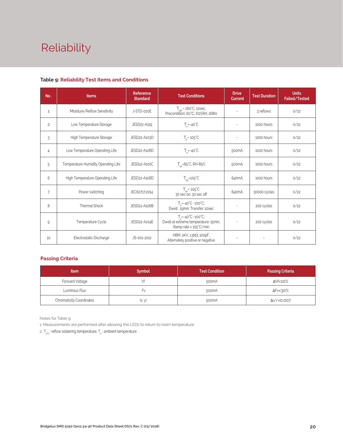# Reliability

| No.            | <b>Items</b>                        | Reference<br><b>Standard</b> | <b>Test Conditions</b>                                                                                    | <b>Drive</b><br><b>Current</b> | <b>Test Duration</b> | <b>Units</b><br><b>Failed/Tested</b> |
|----------------|-------------------------------------|------------------------------|-----------------------------------------------------------------------------------------------------------|--------------------------------|----------------------|--------------------------------------|
| $\mathbf{1}$   | Moisture/Reflow Sensitivity         | J-STD-020E                   | $T_{\text{std}}$ = 260°C, 10sec,<br>Precondition: 60°C, 60%RH, 168hr                                      |                                | 3 reflows            | 0/22                                 |
| $\overline{c}$ | Low Temperature Storage             | JESD22-A119                  | $T_a = -40^{\circ}C$                                                                                      |                                | 1000 hours           | 0/22                                 |
| 3              | High Temperature Storage            | JESD22-A103D                 | $T_a = 105^{\circ}C$                                                                                      | $\sim$                         | 1000 hours           | 0/22                                 |
| $\overline{4}$ | Low Temperature Operating Life      | JESD22-A108D                 | $T_a = -40^{\circ}C$                                                                                      | 500 <sub>m</sub> A             | 1000 hours           | 0/22                                 |
| 5              | Temperature Humidity Operating Life | JESD22-A101C                 | $T_{\rm SD} = 85^{\circ}$ C, RH=85%                                                                       | 500 <sub>m</sub> A             | 1000 hours           | 0/22                                 |
| 6              | High Temperature Operating Life     | JESD22-A108D                 | $T_{\rm SD}$ =105 $\rm ^{\circ}C$                                                                         | 640mA                          | 1000 hours           | 0/22                                 |
| 7              | Power switching                     | IEC62717:2014                | $T_{\rm SD}$ = 105 $\degree$ C<br>30 sec on, 30 sec off                                                   | 640mA                          | 30000 cycles         | 0/22                                 |
| 8              | <b>Thermal Shock</b>                | JESD22-A106B                 | $T_a = -40^{\circ}C - 100^{\circ}C$ ;<br>Dwell: 15min; Transfer: 10sec                                    |                                | 200 cycles           | 0/22                                 |
| 9              | Temperature Cycle                   | JESD22-A104E                 | $T_a = -40^{\circ}C \sim 100^{\circ}C$ ;<br>Dwell at extreme temperature: 15min;<br>Ramp rate < 105°C/min |                                | 200 cycles           | 0/22                                 |
| 10             | Electrostatic Discharge             | JS-001-2012                  | HBM, $2KV$ , $1.5k\Omega$ , $100pF$ ,<br>Alternately positive or negative                                 | $\overline{\phantom{a}}$       |                      | 0/22                                 |

#### **Table 9: Reliability Test Items and Conditions**

#### **Passing Criteria**

| <b>Item</b>                     | <b>Symbol</b> | <b>Test Condition</b> | <b>Passing Criteria</b> |
|---------------------------------|---------------|-----------------------|-------------------------|
| Forward Voltage                 |               | 500mA                 | ΔVf<10%                 |
| Luminous Flux                   | ۲v            | 500 <sub>m</sub> A    | ΔFν<30%                 |
| <b>Chromaticity Coordinates</b> | (x, y)        | 500mA                 | Δu'v'<0.007             |

Notes for Table 9:

1. Measurements are performed after allowing the LEDs to return to room temperature

2.  $\mathsf{T}_{\mathsf{std}}$  : reflow soldering temperature;  $\mathsf{T}_{\mathsf{a}}$  : ambient temperature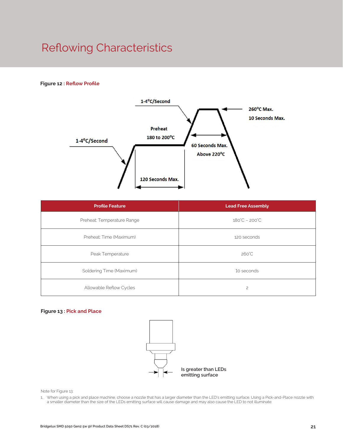### Reflowing Characteristics

#### **Figure 12 : Reflow Profile**



| <b>Profile Feature</b>     | <b>Lead Free Assembly</b>     |  |
|----------------------------|-------------------------------|--|
| Preheat: Temperature Range | $180^{\circ}C - 200^{\circ}C$ |  |
| Preheat: Time (Maximum)    | 120 seconds                   |  |
| Peak Temperature           | $260^{\circ}$ C               |  |
| Soldering Time (Maximum)   | 10 seconds                    |  |
| Allowable Reflow Cycles    | $\overline{c}$                |  |

#### **Figure 13 : Pick and Place**



Note for Figure 13:

1. When using a pick and place machine, choose a nozzle that has a larger diameter than the LED's emitting surface. Using a Pick-and-Place nozzle with a smaller diameter than the size of the LEDs emitting surface will cause damage and may also cause the LED to not illuminate.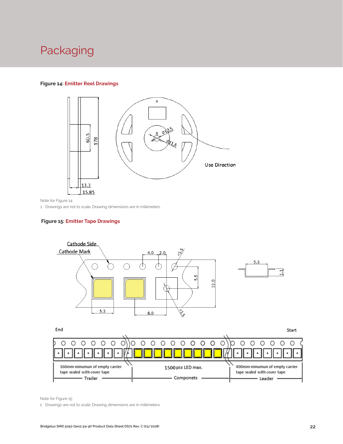### Packaging

#### **Figure 14: Emitter Reel Drawings**



Note for Figure 14:

1. Drawings are not to scale. Drawing dimensions are in millimeters.

#### **Figure 15: Emitter Tape Drawings**



160mm minumun of empty carrier 1500 pcs LED max. 400mm minumun of empty carrier tape sealed with cover tape tape sealed with cover tape - Componets - Trailer Leader .

Note for Figure 15:

1. Drawings are not to scale. Drawing dimensions are in millimeters.

 $\bullet$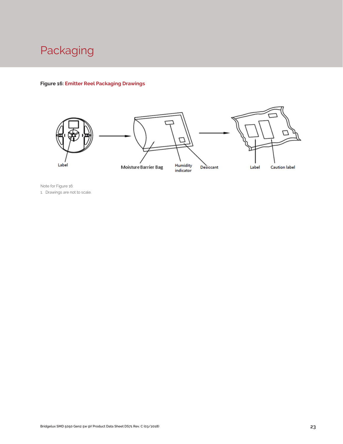

#### **Figure 16: Emitter Reel Packaging Drawings**



Note for Figure 16: 1. Drawings are not to scale.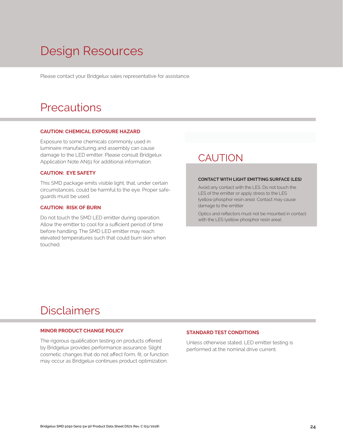## Design Resources

Please contact your Bridgelux sales representative for assistance.

### **Precautions**

#### **CAUTION: CHEMICAL EXPOSURE HAZARD**

Exposure to some chemicals commonly used in luminaire manufacturing and assembly can cause damage to the LED emitter. Please consult Bridgelux Application Note AN51 for additional information.

#### **CAUTION: EYE SAFETY**

This SMD package emits visible light, that, under certain circumstances, could be harmful to the eye. Proper safeguards must be used.

#### **CAUTION: RISK OF BURN**

Do not touch the SMD LED emitter during operation. Allow the emitter to cool for a sufficient period of time before handling. The SMD LED emitter may reach elevated temperatures such that could burn skin when touched.

### **CAUTION**

#### **CONTACT WITH LIGHT EMITTING SURFACE (LES)**

Avoid any contact with the LES. Do not touch the LES of the emitter or apply stress to the LES (yellow phosphor resin area). Contact may cause damage to the emitter

Optics and reflectors must not be mounted in contact with the LES (yellow phosphor resin area).

### Disclaimers

#### **MINOR PRODUCT CHANGE POLICY**

The rigorous qualification testing on products offered by Bridgelux provides performance assurance. Slight cosmetic changes that do not affect form, fit, or function may occur as Bridgelux continues product optimization.

#### **STANDARD TEST CONDITIONS**

Unless otherwise stated, LED emitter testing is performed at the nominal drive current.